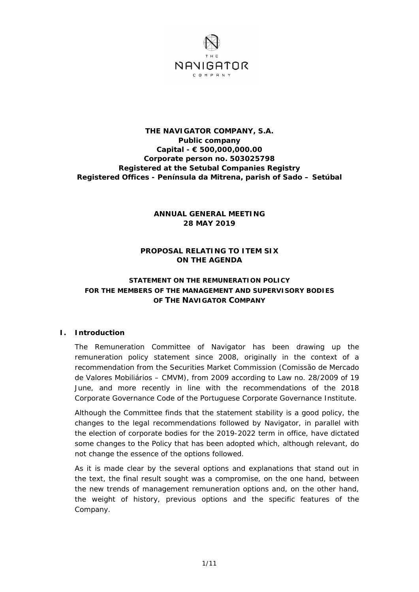

# **THE NAVIGATOR COMPANY, S.A. Public company Capital - € 500,000,000.00 Corporate person no. 503025798 Registered at the Setubal Companies Registry Registered Offices - Península da Mitrena, parish of Sado – Setúbal**

# **ANNUAL GENERAL MEETING 28 MAY 2019**

# **PROPOSAL RELATING TO ITEM SIX ON THE AGENDA**

# **STATEMENT ON THE REMUNERATION POLICY FOR THE MEMBERS OF THE MANAGEMENT AND SUPERVISORY BODIES OF THE NAVIGATOR COMPANY**

### **I. Introduction**

The Remuneration Committee of Navigator has been drawing up the remuneration policy statement since 2008, originally in the context of a recommendation from the Securities Market Commission (Comissão de Mercado de Valores Mobiliários – CMVM), from 2009 according to Law no. 28/2009 of 19 June, and more recently in line with the recommendations of the 2018 Corporate Governance Code of the Portuguese Corporate Governance Institute.

Although the Committee finds that the statement stability is a good policy, the changes to the legal recommendations followed by Navigator, in parallel with the election of corporate bodies for the 2019-2022 term in office, have dictated some changes to the Policy that has been adopted which, although relevant, do not change the essence of the options followed.

As it is made clear by the several options and explanations that stand out in the text, the final result sought was a compromise, on the one hand, between the new trends of management remuneration options and, on the other hand, the weight of history, previous options and the specific features of the Company.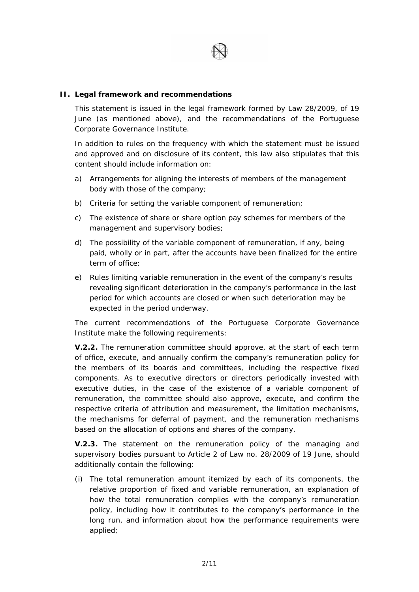

## **II. Legal framework and recommendations**

This statement is issued in the legal framework formed by Law 28/2009, of 19 June (as mentioned above), and the recommendations of the Portuguese Corporate Governance Institute.

In addition to rules on the frequency with which the statement must be issued and approved and on disclosure of its content, this law also stipulates that this content should include information on:

- *a) Arrangements for aligning the interests of members of the management body with those of the company;*
- *b) Criteria for setting the variable component of remuneration;*
- *c) The existence of share or share option pay schemes for members of the management and supervisory bodies;*
- *d) The possibility of the variable component of remuneration, if any, being*  paid, wholly or in part, after the accounts have been finalized for the entire *term of office;*
- *e) Rules limiting variable remuneration in the event of the company's results revealing significant deterioration in the company's performance in the last period for which accounts are closed or when such deterioration may be expected in the period underway.*

The current recommendations of the Portuguese Corporate Governance Institute make the following requirements:

*V.2.2. The remuneration committee should approve, at the start of each term of office, execute, and annually confirm the company's remuneration policy for the members of its boards and committees, including the respective fixed components. As to executive directors or directors periodically invested with executive duties, in the case of the existence of a variable component of remuneration, the committee should also approve, execute, and confirm the respective criteria of attribution and measurement, the limitation mechanisms, the mechanisms for deferral of payment, and the remuneration mechanisms based on the allocation of options and shares of the company.* 

*V.2.3. The statement on the remuneration policy of the managing and supervisory bodies pursuant to Article 2 of Law no. 28/2009 of 19 June, should additionally contain the following:* 

*(i) The total remuneration amount itemized by each of its components, the*  relative proportion of fixed and variable remuneration, an explanation of *how the total remuneration complies with the company's remuneration policy, including how it contributes to the company's performance in the long run, and information about how the performance requirements were applied;*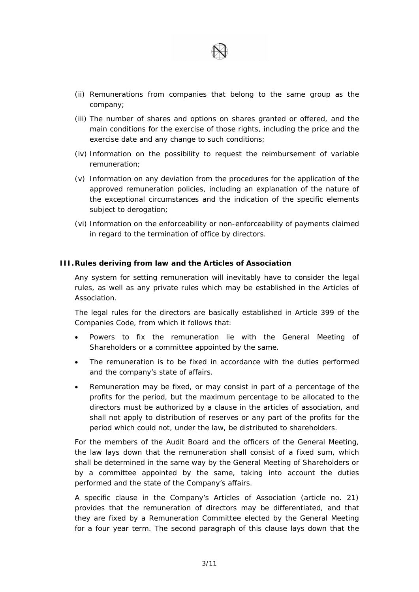

- *(ii) Remunerations from companies that belong to the same group as the company;*
- *(iii) The number of shares and options on shares granted or offered, and the main conditions for the exercise of those rights, including the price and the exercise date and any change to such conditions;*
- *(iv) Information on the possibility to request the reimbursement of variable remuneration;*
- *(v) Information on any deviation from the procedures for the application of the*  approved remuneration policies, including an explanation of the nature of *the exceptional circumstances and the indication of the specific elements subject to derogation;*
- *(vi) Information on the enforceability or non-enforceability of payments claimed in regard to the termination of office by directors.*

#### **III. Rules deriving from law and the Articles of Association**

Any system for setting remuneration will inevitably have to consider the legal rules, as well as any private rules which may be established in the Articles of **Association** 

The legal rules for the directors are basically established in Article 399 of the Companies Code, from which it follows that:

- Powers to fix the remuneration lie with the General Meeting of Shareholders or a committee appointed by the same.
- The remuneration is to be fixed in accordance with the duties performed and the company's state of affairs.
- Remuneration may be fixed, or may consist in part of a percentage of the profits for the period, but the maximum percentage to be allocated to the directors must be authorized by a clause in the articles of association, and shall not apply to distribution of reserves or any part of the profits for the period which could not, under the law, be distributed to shareholders.

For the members of the Audit Board and the officers of the General Meeting, the law lays down that the remuneration shall consist of a fixed sum, which shall be determined in the same way by the General Meeting of Shareholders or by a committee appointed by the same, taking into account the duties performed and the state of the Company's affairs.

A specific clause in the Company's Articles of Association (article no. 21) provides that the remuneration of directors may be differentiated, and that they are fixed by a Remuneration Committee elected by the General Meeting for a four year term. The second paragraph of this clause lays down that the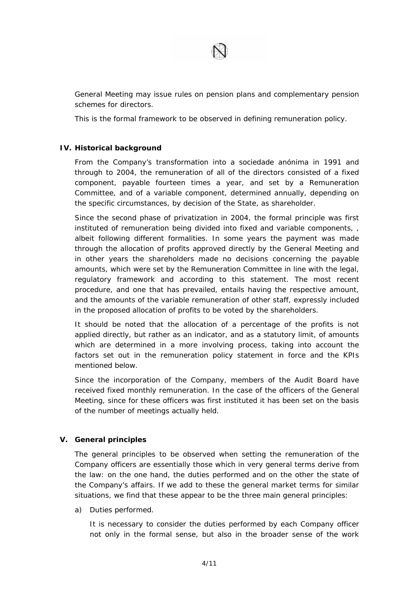

General Meeting may issue rules on pension plans and complementary pension schemes for directors.

This is the formal framework to be observed in defining remuneration policy.

### **IV. Historical background**

From the Company's transformation into a *sociedade anónima* in 1991 and through to 2004, the remuneration of all of the directors consisted of a fixed component, payable fourteen times a year, and set by a Remuneration Committee, and of a variable component, determined annually, depending on the specific circumstances, by decision of the State, as shareholder.

Since the second phase of privatization in 2004, the formal principle was first instituted of remuneration being divided into fixed and variable components, , albeit following different formalities. In some years the payment was made through the allocation of profits approved directly by the General Meeting and in other years the shareholders made no decisions concerning the payable amounts, which were set by the Remuneration Committee in line with the legal, regulatory framework and according to this statement. The most recent procedure, and one that has prevailed, entails having the respective amount, and the amounts of the variable remuneration of other staff, expressly included in the proposed allocation of profits to be voted by the shareholders.

It should be noted that the allocation of a percentage of the profits is not applied directly, but rather as an indicator, and as a statutory limit, of amounts which are determined in a more involving process, taking into account the factors set out in the remuneration policy statement in force and the KPIs mentioned below.

Since the incorporation of the Company, members of the Audit Board have received fixed monthly remuneration. In the case of the officers of the General Meeting, since for these officers was first instituted it has been set on the basis of the number of meetings actually held.

### **V. General principles**

The general principles to be observed when setting the remuneration of the Company officers are essentially those which in very general terms derive from the law: on the one hand, the duties performed and on the other the state of the Company's affairs. If we add to these the general market terms for similar situations, we find that these appear to be the three main general principles:

a) Duties performed.

It is necessary to consider the duties performed by each Company officer not only in the formal sense, but also in the broader sense of the work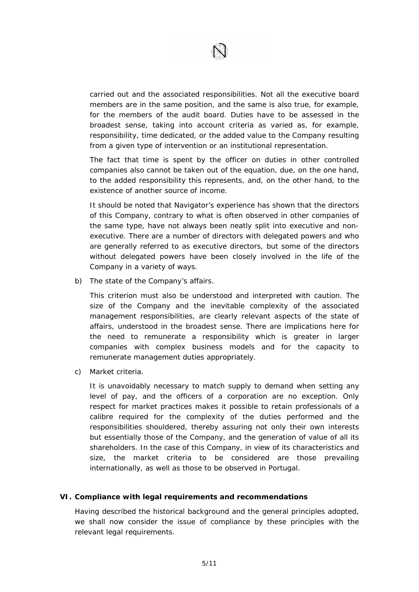

carried out and the associated responsibilities. Not all the executive board members are in the same position, and the same is also true, for example, for the members of the audit board. Duties have to be assessed in the broadest sense, taking into account criteria as varied as, for example, responsibility, time dedicated, or the added value to the Company resulting from a given type of intervention or an institutional representation.

The fact that time is spent by the officer on duties in other controlled companies also cannot be taken out of the equation, due, on the one hand, to the added responsibility this represents, and, on the other hand, to the existence of another source of income.

It should be noted that Navigator's experience has shown that the directors of this Company, contrary to what is often observed in other companies of the same type, have not always been neatly split into executive and nonexecutive. There are a number of directors with delegated powers and who are generally referred to as executive directors, but some of the directors without delegated powers have been closely involved in the life of the Company in a variety of ways.

b) The state of the Company's affairs.

This criterion must also be understood and interpreted with caution. The size of the Company and the inevitable complexity of the associated management responsibilities, are clearly relevant aspects of the state of affairs, understood in the broadest sense. There are implications here for the need to remunerate a responsibility which is greater in larger companies with complex business models and for the capacity to remunerate management duties appropriately.

c) Market criteria.

It is unavoidably necessary to match supply to demand when setting any level of pay, and the officers of a corporation are no exception. Only respect for market practices makes it possible to retain professionals of a calibre required for the complexity of the duties performed and the responsibilities shouldered, thereby assuring not only their own interests but essentially those of the Company, and the generation of value of all its shareholders. In the case of this Company, in view of its characteristics and size, the market criteria to be considered are those prevailing internationally, as well as those to be observed in Portugal.

#### **VI. Compliance with legal requirements and recommendations**

Having described the historical background and the general principles adopted, we shall now consider the issue of compliance by these principles with the relevant legal requirements.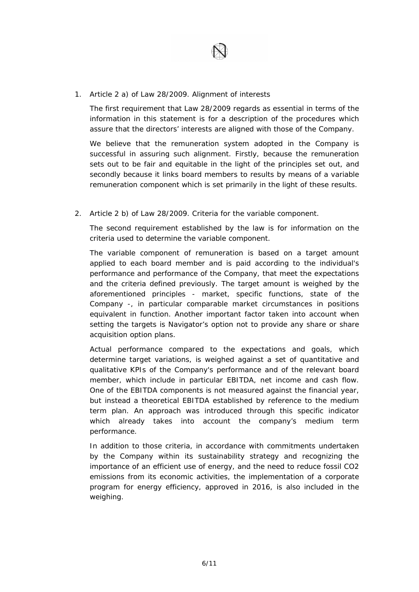

1. Article 2 a) of Law 28/2009. Alignment of interests

The first requirement that Law 28/2009 regards as essential in terms of the information in this statement is for a description of the procedures which assure that the directors' interests are aligned with those of the Company.

We believe that the remuneration system adopted in the Company is successful in assuring such alignment. Firstly, because the remuneration sets out to be fair and equitable in the light of the principles set out, and secondly because it links board members to results by means of a variable remuneration component which is set primarily in the light of these results.

2. Article 2 b) of Law 28/2009. Criteria for the variable component.

The second requirement established by the law is for information on the criteria used to determine the variable component.

The variable component of remuneration is based on a target amount applied to each board member and is paid according to the individual's performance and performance of the Company, that meet the expectations and the criteria defined previously. The target amount is weighed by the aforementioned principles - market, specific functions, state of the Company -, in particular comparable market circumstances in positions equivalent in function. Another important factor taken into account when setting the targets is Navigator's option not to provide any share or share acquisition option plans.

Actual performance compared to the expectations and goals, which determine target variations, is weighed against a set of quantitative and qualitative KPIs of the Company's performance and of the relevant board member, which include in particular EBITDA, net income and cash flow. One of the EBITDA components is not measured against the financial year, but instead a theoretical EBITDA established by reference to the medium term plan. An approach was introduced through this specific indicator which already takes into account the company's medium term performance.

In addition to those criteria, in accordance with commitments undertaken by the Company within its sustainability strategy and recognizing the importance of an efficient use of energy, and the need to reduce fossil CO2 emissions from its economic activities, the implementation of a corporate program for energy efficiency, approved in 2016, is also included in the weighing.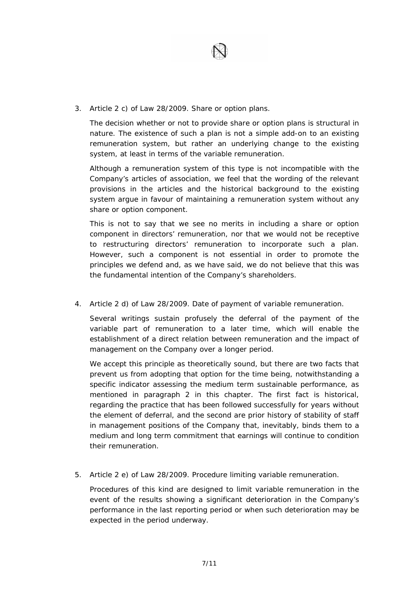

3. Article 2 c) of Law 28/2009. Share or option plans.

The decision whether or not to provide share or option plans is structural in nature. The existence of such a plan is not a simple add-on to an existing remuneration system, but rather an underlying change to the existing system, at least in terms of the variable remuneration.

Although a remuneration system of this type is not incompatible with the Company's articles of association, we feel that the wording of the relevant provisions in the articles and the historical background to the existing system argue in favour of maintaining a remuneration system without any share or option component.

This is not to say that we see no merits in including a share or option component in directors' remuneration, nor that we would not be receptive to restructuring directors' remuneration to incorporate such a plan. However, such a component is not essential in order to promote the principles we defend and, as we have said, we do not believe that this was the fundamental intention of the Company's shareholders.

4. Article 2 d) of Law 28/2009. Date of payment of variable remuneration.

Several writings sustain profusely the deferral of the payment of the variable part of remuneration to a later time, which will enable the establishment of a direct relation between remuneration and the impact of management on the Company over a longer period.

We accept this principle as theoretically sound, but there are two facts that prevent us from adopting that option for the time being, notwithstanding a specific indicator assessing the medium term sustainable performance, as mentioned in paragraph 2 in this chapter. The first fact is historical, regarding the practice that has been followed successfully for years without the element of deferral, and the second are prior history of stability of staff in management positions of the Company that, inevitably, binds them to a medium and long term commitment that earnings will continue to condition their remuneration.

5. Article 2 e) of Law 28/2009. Procedure limiting variable remuneration.

Procedures of this kind are designed to limit variable remuneration in the event of the results showing a significant deterioration in the Company's performance in the last reporting period or when such deterioration may be expected in the period underway.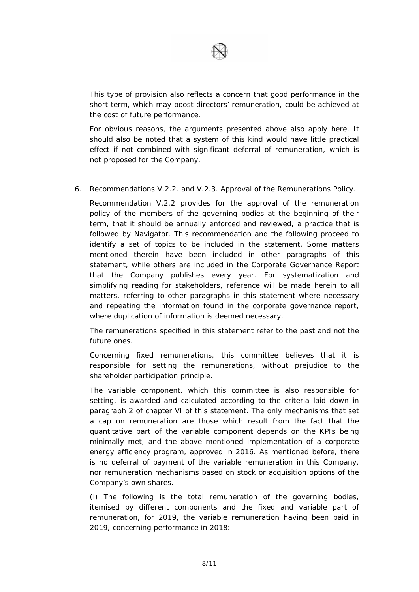

This type of provision also reflects a concern that good performance in the short term, which may boost directors' remuneration, could be achieved at the cost of future performance.

For obvious reasons, the arguments presented above also apply here. It should also be noted that a system of this kind would have little practical effect if not combined with significant deferral of remuneration, which is not proposed for the Company.

6. Recommendations V.2.2. and V.2.3. Approval of the Remunerations Policy.

Recommendation V.2.2 provides for the approval of the remuneration policy of the members of the governing bodies at the beginning of their term, that it should be annually enforced and reviewed, a practice that is followed by Navigator. This recommendation and the following proceed to identify a set of topics to be included in the statement. Some matters mentioned therein have been included in other paragraphs of this statement, while others are included in the Corporate Governance Report that the Company publishes every year. For systematization and simplifying reading for stakeholders, reference will be made herein to all matters, referring to other paragraphs in this statement where necessary and repeating the information found in the corporate governance report, where duplication of information is deemed necessary.

The remunerations specified in this statement refer to the past and not the future ones.

Concerning fixed remunerations, this committee believes that it is responsible for setting the remunerations, without prejudice to the shareholder participation principle.

The variable component, which this committee is also responsible for setting, is awarded and calculated according to the criteria laid down in paragraph 2 of chapter VI of this statement. The only mechanisms that set a cap on remuneration are those which result from the fact that the quantitative part of the variable component depends on the KPIs being minimally met, and the above mentioned implementation of a corporate energy efficiency program, approved in 2016. As mentioned before, there is no deferral of payment of the variable remuneration in this Company, nor remuneration mechanisms based on stock or acquisition options of the Company's own shares.

(i) The following is the total remuneration of the governing bodies, itemised by different components and the fixed and variable part of remuneration, for 2019, the variable remuneration having been paid in 2019, concerning performance in 2018: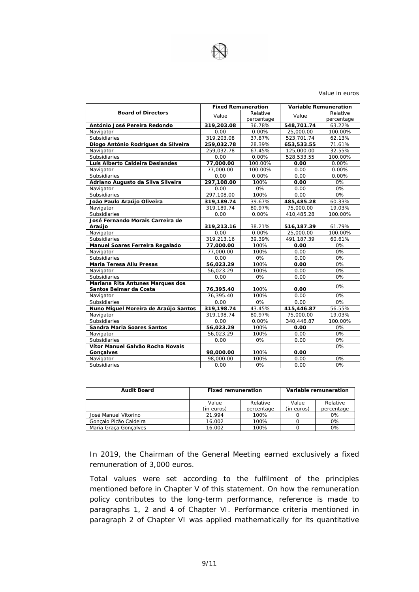

#### Value in euros

|                                      | <b>Fixed Remuneration</b> |            | <b>Variable Remuneration</b> |            |
|--------------------------------------|---------------------------|------------|------------------------------|------------|
| <b>Board of Directors</b>            | Value                     | Relative   | Value                        | Relative   |
|                                      |                           | percentage |                              | percentage |
| António José Pereira Redondo         | 319,203.08                | 36.78%     | 548,701.74                   | 63.22%     |
| Navigator                            | 0.00                      | 0.00%      | 25,000.00                    | 100.00%    |
| Subsidiaries                         | 319,203.08                | 37.87%     | 523,701.74                   | 62.13%     |
| Diogo António Rodrigues da Silveira  | 259,032.78                | 28.39%     | 653,533.55                   | 71.61%     |
| Navigator                            | 259,032.78                | 67.45%     | 125,000.00                   | 32.55%     |
| <b>Subsidiaries</b>                  | 0.00                      | 0.00%      | 528,533.55                   | 100.00%    |
| Luís Alberto Caldeira Deslandes      | 77,000.00                 | 100.00%    | 0.00                         | 0.00%      |
| Navigator                            | 77,000.00                 | 100.00%    | 0.00                         | 0.00%      |
| Subsidiaries                         | 0.00                      | 0.00%      | 0.00                         | $0.00\%$   |
| Adriano Augusto da Silva Silveira    | 297,108.00                | 100%       | 0.00                         | 0%         |
| Navigator                            | 0.00                      | 0%         | 0.00                         | 0%         |
| Subsidiaries                         | 297,108.00                | 100%       | 0.00                         | 0%         |
| João Paulo Araújo Oliveira           | 319,189.74                | 39.67%     | 485,485.28                   | 60.33%     |
| Navigator                            | 319,189.74                | 80.97%     | 75,000.00                    | 19.03%     |
| Subsidiaries                         | 0.00                      | 0.00%      | 410,485.28                   | 100.00%    |
| José Fernando Morais Carreira de     |                           |            |                              |            |
| Araújo                               | 319,213.16                | 38.21%     | 516,187.39                   | 61.79%     |
| Navigator                            | 0.00                      | $0.00\%$   | 25,000.00                    | 100.00%    |
| Subsidiaries                         | 319,213.16                | 39.39%     | 491.187.39                   | 60.61%     |
| Manuel Soares Ferreira Regalado      | 77,000.00                 | 100%       | 0.00                         | 0%         |
| Navigator                            | 77,000.00                 | 100%       | 0.00                         | 0%         |
| Subsidiaries                         | 0.00                      | 0%         | 0.00                         | 0%         |
| Maria Teresa Aliu Presas             | 56,023.29                 | 100%       | 0.00                         | 0%         |
| Navigator                            | 56,023.29                 | 100%       | 0.00                         | 0%         |
| Subsidiaries                         | 0.00                      | 0%         | 0.00                         | 0%         |
| Mariana Rita Antunes Marques dos     |                           |            |                              | 0%         |
| Santos Belmar da Costa               | 76,395.40                 | 100%       | 0.00                         |            |
| Navigator                            | 76.395.40                 | 100%       | 0.00                         | 0%         |
| <b>Subsidiaries</b>                  | 0.00                      | 0%         | 0.00                         | 0%         |
| Nuno Miguel Moreira de Araújo Santos | 319,198.74                | 43.45%     | 415,446.87                   | 56.55%     |
| Navigator                            | 319,198.74                | 80.97%     | 75,000.00                    | 19.03%     |
| Subsidiaries                         | 0.00                      | 0.00%      | 340,446.87                   | 100.00%    |
| Sandra Maria Soares Santos           | 56,023.29                 | 100%       | 0.00                         | 0%         |
| Navigator                            | 56,023.29                 | 100%       | 0.00                         | 0%         |
| <b>Subsidiaries</b>                  | 0.00                      | 0%         | 0.00                         | 0%         |
| Vítor Manuel Galvão Rocha Novais     |                           |            |                              | 0%         |
| <b>Goncalves</b>                     | 98,000.00                 | 100%       | 0.00                         |            |
| Navigator                            | 98,000.00                 | 100%       | 0.00                         | 0%         |
| Subsidiaries                         | 0.00                      | 0%         | 0.00                         | 0%         |

| <b>Audit Board</b>     | <b>Fixed remuneration</b> |            | Variable remuneration |            |
|------------------------|---------------------------|------------|-----------------------|------------|
|                        | Value                     | Relative   | Value                 | Relative   |
|                        | (in euros)                | percentage | (in euros)            | percentage |
| José Manuel Vitorino   | 21.994                    | 100%       |                       | $0\%$      |
| Goncalo Picão Caldeira | 16.002                    | 100%       |                       | 0%         |
| Maria Graca Goncalves  | 16.002                    | 100%       |                       | 0%         |

In 2019, the Chairman of the General Meeting earned exclusively a fixed remuneration of 3,000 euros.

Total values were set according to the fulfilment of the principles mentioned before in Chapter V of this statement. On how the remuneration policy contributes to the long-term performance, reference is made to paragraphs 1, 2 and 4 of Chapter VI. Performance criteria mentioned in paragraph 2 of Chapter VI was applied mathematically for its quantitative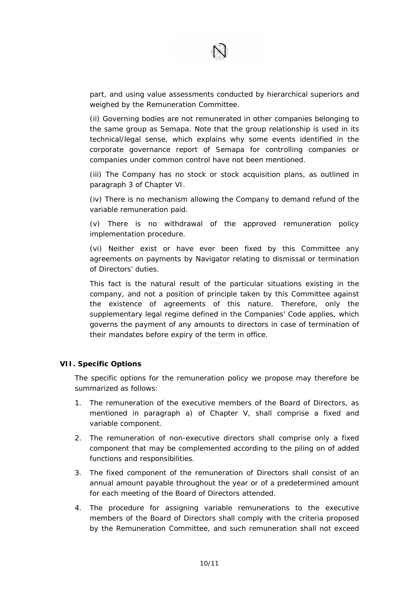

part, and using value assessments conducted by hierarchical superiors and weighed by the Remuneration Committee.

(ii) Governing bodies are not remunerated in other companies belonging to the same group as Semapa. Note that the group relationship is used in its technical/legal sense, which explains why some events identified in the corporate governance report of Semapa for controlling companies or companies under common control have not been mentioned.

(iii) The Company has no stock or stock acquisition plans, as outlined in paragraph 3 of Chapter VI.

(iv) There is no mechanism allowing the Company to demand refund of the variable remuneration paid.

(v) There is no withdrawal of the approved remuneration policy implementation procedure.

(vi) Neither exist or have ever been fixed by this Committee any agreements on payments by Navigator relating to dismissal or termination of Directors' duties.

This fact is the natural result of the particular situations existing in the company, and not a position of principle taken by this Committee against the existence of agreements of this nature. Therefore, only the supplementary legal regime defined in the Companies' Code applies, which governs the payment of any amounts to directors in case of termination of their mandates before expiry of the term in office.

#### **VII. Specific Options**

The specific options for the remuneration policy we propose may therefore be summarized as follows:

- 1. The remuneration of the executive members of the Board of Directors, as mentioned in paragraph a) of Chapter V, shall comprise a fixed and variable component.
- 2. The remuneration of non-executive directors shall comprise only a fixed component that may be complemented according to the piling on of added functions and responsibilities.
- 3. The fixed component of the remuneration of Directors shall consist of an annual amount payable throughout the year or of a predetermined amount for each meeting of the Board of Directors attended.
- 4. The procedure for assigning variable remunerations to the executive members of the Board of Directors shall comply with the criteria proposed by the Remuneration Committee, and such remuneration shall not exceed